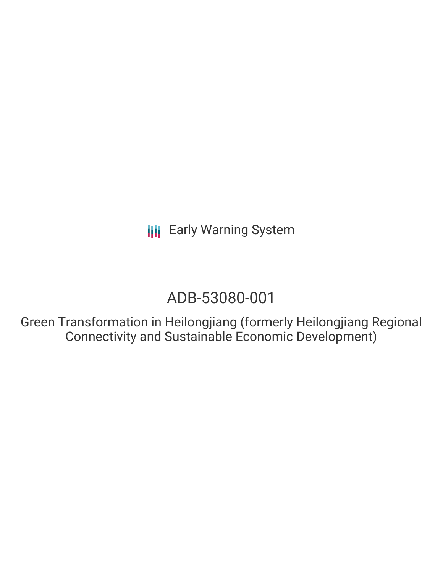## ADB-53080-001

Green Transformation in Heilongjiang (formerly Heilongjiang Regional Connectivity and Sustainable Economic Development)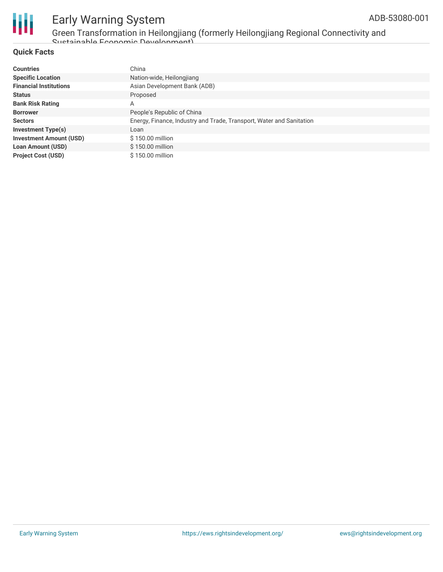

Green Transformation in Heilongjiang (formerly Heilongjiang Regional Connectivity and Sustainable Economic Development)

### **Quick Facts**

| <b>Countries</b>               | China                                                                |
|--------------------------------|----------------------------------------------------------------------|
| <b>Specific Location</b>       | Nation-wide, Heilongjiang                                            |
| <b>Financial Institutions</b>  | Asian Development Bank (ADB)                                         |
| <b>Status</b>                  | Proposed                                                             |
| <b>Bank Risk Rating</b>        | A                                                                    |
| <b>Borrower</b>                | People's Republic of China                                           |
| <b>Sectors</b>                 | Energy, Finance, Industry and Trade, Transport, Water and Sanitation |
| <b>Investment Type(s)</b>      | Loan                                                                 |
| <b>Investment Amount (USD)</b> | \$150.00 million                                                     |
| <b>Loan Amount (USD)</b>       | \$150.00 million                                                     |
| <b>Project Cost (USD)</b>      | \$150.00 million                                                     |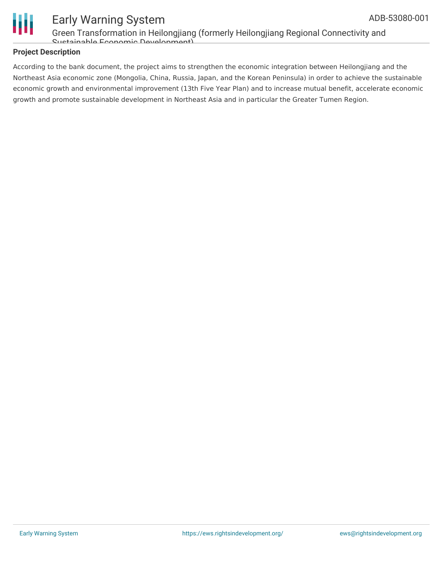

### Early Warning System Green Transformation in Heilongjiang (formerly Heilongjiang Regional Connectivity and

Sustainable Economic Development)

### **Project Description**

According to the bank document, the project aims to strengthen the economic integration between Heilongjiang and the Northeast Asia economic zone (Mongolia, China, Russia, Japan, and the Korean Peninsula) in order to achieve the sustainable economic growth and environmental improvement (13th Five Year Plan) and to increase mutual benefit, accelerate economic growth and promote sustainable development in Northeast Asia and in particular the Greater Tumen Region.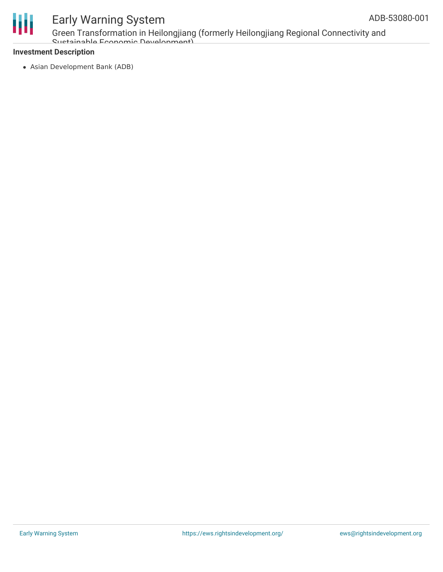

Green Transformation in Heilongjiang (formerly Heilongjiang Regional Connectivity and Sustainable Economic Development)

### **Investment Description**

Asian Development Bank (ADB)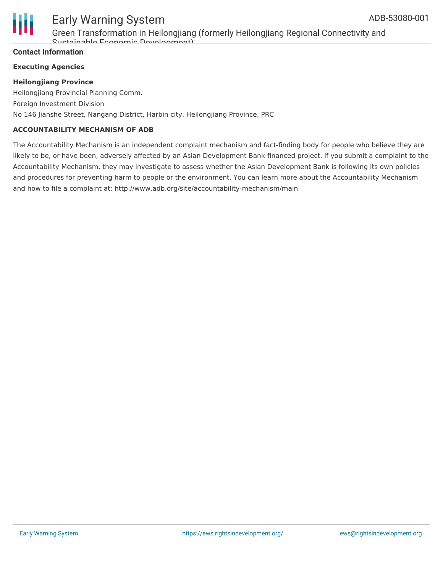

Green Transformation in Heilongjiang (formerly Heilongjiang Regional Connectivity and Sustainable Economic Development)

### **Contact Information**

### **Executing Agencies**

### **Heilongjiang Province**

Heilongjiang Provincial Planning Comm. Foreign Investment Division No 146 Jianshe Street, Nangang District, Harbin city, Heilongjiang Province, PRC

### **ACCOUNTABILITY MECHANISM OF ADB**

The Accountability Mechanism is an independent complaint mechanism and fact-finding body for people who believe they are likely to be, or have been, adversely affected by an Asian Development Bank-financed project. If you submit a complaint to the Accountability Mechanism, they may investigate to assess whether the Asian Development Bank is following its own policies and procedures for preventing harm to people or the environment. You can learn more about the Accountability Mechanism and how to file a complaint at: http://www.adb.org/site/accountability-mechanism/main